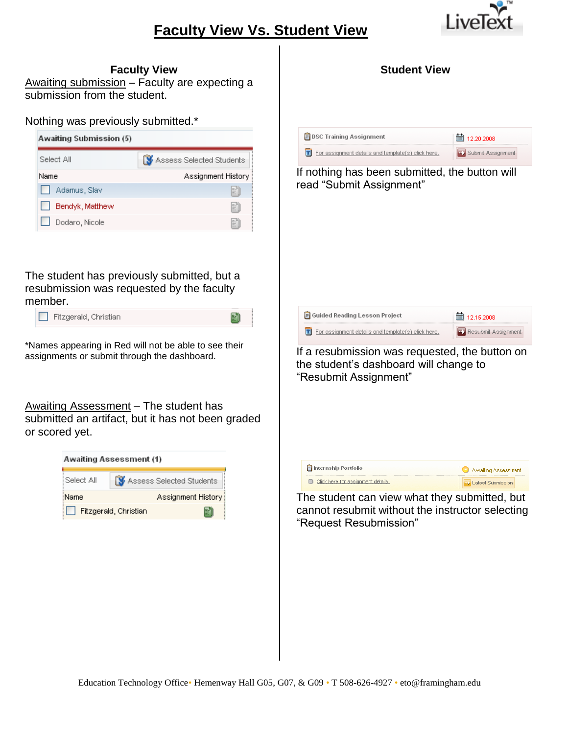# **Faculty View Vs. Student View**



| <b>Faculty View</b>        |
|----------------------------|
| $l$ hminninn Ennultuarn av |

Awaiting submission – Faculty are expecting a submission from the student.

#### Nothing was previously submitted.\*

| Awaiting Submission (5) |                          |
|-------------------------|--------------------------|
| Select All              | Assess Selected Students |
| <b>Name</b>             | Assignment History       |
| Adamus, Slav            | Ë                        |
| Bendyk, Matthew         | 뱱                        |
| Dodaro, Nicole          | m                        |

The student has previously submitted, but a resubmission was requested by the faculty member.

Fitzgerald, Christian

\*Names appearing in Red will not be able to see their assignments or submit through the dashboard.

Awaiting Assessment - The student has submitted an artifact, but it has not been graded or scored yet.



| $\mathsf{F}$ DSC Training Assignment<br>T For assignment details and template(s) click here. | ■ 12.20.2008<br><b>u)</b> Submit Assignment |
|----------------------------------------------------------------------------------------------|---------------------------------------------|
|                                                                                              |                                             |
| If nothing has been submitted, the button will<br>read "Submit Assignment"                   |                                             |
|                                                                                              |                                             |
|                                                                                              |                                             |
|                                                                                              |                                             |
|                                                                                              |                                             |
|                                                                                              |                                             |
|                                                                                              |                                             |
|                                                                                              |                                             |
| Guided Reading Lesson Project                                                                | 臝<br>12.15.2008                             |
| $\boxed{\mathbf{T}}$ For assignment details and template(s) click here.                      | <b>ED</b> Resubmit Assignment               |
| If a resubmission was requested, the button on                                               |                                             |
| the student's dashboard will change to                                                       |                                             |
| "Resubmit Assignment"                                                                        |                                             |

**Student View**

| $\mathbf{F}$ Internship Portfolio  | Awaiting Assessment        |
|------------------------------------|----------------------------|
| Click here for assignment details. | <b>W</b> Latest Submission |

The student can view what they submitted, but cannot resubmit without the instructor selecting "Request Resubmission"